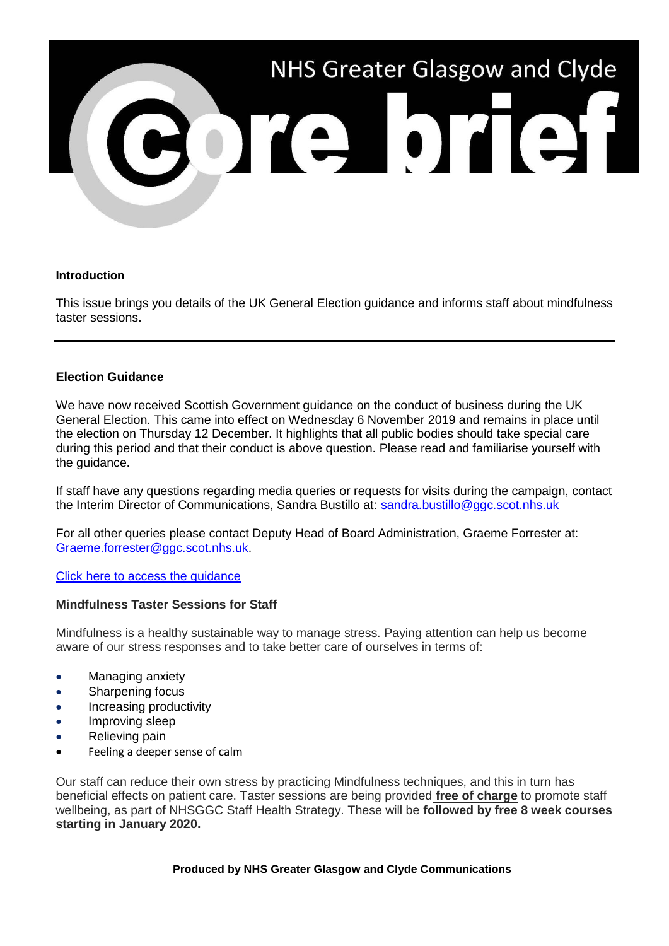

# **Introduction**

This issue brings you details of the UK General Election guidance and informs staff about mindfulness taster sessions.

# **Election Guidance**

We have now received Scottish Government guidance on the conduct of business during the UK General Election. This came into effect on Wednesday 6 November 2019 and remains in place until the election on Thursday 12 December. It highlights that all public bodies should take special care during this period and that their conduct is above question. Please read and familiarise yourself with the guidance.

If staff have any questions regarding media queries or requests for visits during the campaign, contact the Interim Director of Communications, Sandra Bustillo at: [sandra.bustillo@ggc.scot.nhs.uk](mailto:sandra.bustillo@ggc.scot.nhs.uk)

For all other queries please contact Deputy Head of Board Administration, Graeme Forrester at: [Graeme.forrester@ggc.scot.nhs.uk.](mailto:Graeme.forrester@ggc.scot.nhs.uk)

### [Click here to access the guidance](https://www.gov.scot/publications/uk-general-election-2019-guidance-for-civil-servants/?utm_source=Core%20Brief&utm_medium=Email&utm_campaign=CB%20-%20election%20guidance)

### **Mindfulness Taster Sessions for Staff**

Mindfulness is a healthy sustainable way to manage stress. Paying attention can help us become aware of our stress responses and to take better care of ourselves in terms of:

- Managing anxiety
- Sharpening focus
- Increasing productivity
- Improving sleep
- Relieving pain
- Feeling a deeper sense of calm

Our staff can reduce their own stress by practicing Mindfulness techniques, and this in turn has beneficial effects on patient care. Taster sessions are being provided **free of charge** to promote staff wellbeing, as part of NHSGGC Staff Health Strategy. These will be **followed by free 8 week courses starting in January 2020.**

### **Produced by NHS Greater Glasgow and Clyde Communications**